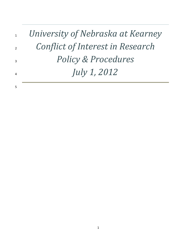| $1\quad$               | University of Nebraska at Kearney |
|------------------------|-----------------------------------|
| $2^{\sim}$             | Conflict of Interest in Research  |
| $\mathbf{R}$           | <b>Policy &amp; Procedures</b>    |
| $\boldsymbol{\Lambda}$ | <i>July 1, 2012</i>               |
| .5                     |                                   |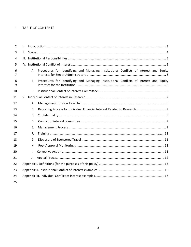#### $\mathbf{1}$ **TABLE OF CONTENTS**

| $\overline{2}$ | $\mathbf{L}$ |              |                                                                                        |
|----------------|--------------|--------------|----------------------------------------------------------------------------------------|
| 3              | II.          |              |                                                                                        |
| 4              |              |              |                                                                                        |
| 5              |              |              |                                                                                        |
| 6<br>7         |              | А.           | Procedures for Identifying and Managing Institutional Conflicts of Interest and Equity |
| 8<br>9         |              | В.           | Procedures for Identifying and Managing Institutional Conflicts of Interest and Equity |
| 10             |              | C.           |                                                                                        |
| 11             |              |              |                                                                                        |
| 12             |              | А.           |                                                                                        |
| 13             |              | В.           |                                                                                        |
| 14             |              | $C_{\cdot}$  |                                                                                        |
| 15             |              | D.           |                                                                                        |
| 16             |              | Ε.           |                                                                                        |
| 17             |              | F.           |                                                                                        |
| 18             |              | G.           |                                                                                        |
| 19             |              | Η.           |                                                                                        |
| 20             |              | $\mathsf{L}$ |                                                                                        |
| 21             |              | J.           |                                                                                        |
| 22             |              |              |                                                                                        |
| 23             |              |              |                                                                                        |
| 24             |              |              |                                                                                        |
| 25             |              |              |                                                                                        |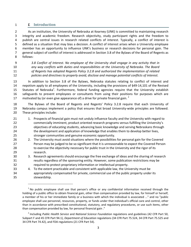### *I.* **Introduction**

 As an institution, the University of Nebraska at Kearney (UNK) is committed to maintaining research integrity and academic freedom. Research objectivity, study participant rights and the freedom to publish are central issues in research related conflicts of interest. Typically, a conflict of interest is defined as a situation that may bias a decision. A conflict of interest arises when a University employee member has an opportunity to influence UNK's business or research decisions for personal gain. The general subject of conflict of interest is addressed in Section 3.8 of the Bylaws of the Board of Regents as follows:

 *3.8 Conflict of Interest. No employee of the University shall engage in any activity that in any way conflicts with duties and responsibilities at the University of Nebraska. The Board of Regents has adopted Regents Policy 3.2.8 and authorized the implementation of related policies and directives to properly avoid, disclose and manage potential conflicts of interest.*

 In addition to Section 3.8 of the Bylaws, Nebraska statutes relating to conflict of interest and nepotism apply to all employees of the University, including the provisions of §49‐14,101 of the Revised 15 Statutes of Nebraska<sup>1</sup>. Furthermore, federal funding agencies require that the University establish safeguards to prevent employees or consultants from using their positions for purposes which are 17 motivated by (or even give appearance of) a drive for private financial gain.  $^2$ 

 The Bylaws of the Board of Regents and Regents' Policy 3.2.8 require that each University of 19 Nebraska campus implement a policy that ensures that broad University-wide principles are followed. These principles include:

- 21 1. Prospects of financial gain must not unduly influence faculty and the University with regard to commercially imminent, product oriented research programs versus fulfilling the University's objectives of educating students, advancing basic knowledge and serving Nebraskans through the development and application of knowledge that enables them to develop better lives, stronger communities and genuine economic opportunity.
- 26 2. The University must avoid situations where the possibilities for personal gain for the Covered Person may be judged to be so significant that it is unreasonable to expect the Covered Person 28 to exercise the objectivity necessary for public trust in the University and the rigor of its research.
- 3. Research agreements should encourage the free exchange of ideas and the sharing of research results regardless of the sponsoring entity. However, some publication restrictions may be required to protect proprietary information or intellectual property.
- 4. To the extent practicable and consistent with applicable law, the University must be appropriately compensated for private, commercial use of the public property under its stewardship.

 No public employee shall use that person's office or any confidential information received through the holding of a public office to obtain financial gain, other than compensation provided by law, for himself or herself, a member of his or her immediate family or a business with which the individual is associated ..." and no "public employee shall use personnel, resources, property, or funds under that individual's official care and control, other than in accordance with prescribed constitutional, statutory, and regulatory procedures, or use such items, other than compensation provided by law, for personal financial gain ."

 Including *Public Health Service* and *National Science Foundation* regulations and guidelines (42 CFR Part 50, Subpart F and 45 CFR Part 94.1), *Department of Education* regulations (34 CFR Part 75.524, 34 CFR Part 75.525 and CFR Part 74.42), and FDA regulations (21 CFR Part 54).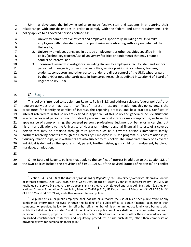UNK has developed the following policy to guide faculty, staff and students in structuring their relationships with outside entities in order to comply with the federal and state requirements. This policy applies to all covered persons defined as:

 1. University administrative officers and employees, specifically including any University employees with delegated signature, purchasing or contracting authority on behalf of the University; 2. University employees engaged in outside employment or other activities specified in this policy (technology transfer/use of University facilities or equipment) that may create a conflict of Interest; and 3. Sponsored Research investigators, including University employees, faculty, staff and support personnel (managerial/professional and office/service positions), volunteers, trainees, students, contractors and other persons under the direct control of the UNK, whether paid by the UNK or not, who participate in Sponsored Research as defined in Section 6 of Board of Regents policy 3.2.8.

#### *II.* **Scope**

16 This policy is intended to supplement Regents Policy 3.2.8 and address relevant federal policies<sup>3</sup> that regulate activities that may result in conflict of interest in research. In addition, this policy details the procedures for identifying conflict of interest, the reporting process, and best practices. Conflicts of interest referred to in this policy are defined in Appendix I of this policy and generally include situations in which a covered person's direct or indirect personal financial interests may compromise, or have the appearance of compromising, the covered person's professional judgment or behavior in carrying out his or her obligations to the University of Nebraska. Indirect personal financial interests of a covered person that may be obtained through third parties such as a covered person's immediate family, partners receiving benefits through the University's Employee Plus One program, business relationships, fiduciary relationships, or investments are also subject to this policy. The immediate family of a covered individual is defined as the spouse, child, parent, brother, sister, grandchild, or grandparent, by blood, marriage, or adoption.

29 Other Board of Regents policies that apply to the conflict of interest in addition to the Section 3.8 of 30 the BOR policies include the provisions of §49-14,101.01 of the Revised Statues of Nebraska<sup>4</sup> on conflict

 Section 3.4.5 and 3.8 of the *Bylaws of the Board of Regents of the University of Nebraska,* Nebraska Conflict of Interest Statutes, *Neb. Rev. Stat. §49‐1493 et. seq.,* Board of Regents Conflict of Interest Policy, RP‐3.2.8, US Public Health Service (42 CFR Part 50, Subpart F and 45 CFR Part 94.1), Food and Drug Administration (21 CFR 54), National Science Foundation (Grant Policy Manual 05‐131 § 510), US Department of Education (34 CFR 75.524, 34 CFR 75.525 and 34 CFR 74.42) and other relevant federal policies.

 "A public official or public employee shall not use or authorize the use of his or her public office or any confidential information received through the holding of a public office to obtain financial gain, other than compensation provided by law, for himself or herself, a member of his or her immediate family, or a business with which the individual is associated." and " A public official or public employee shall not use or authorize the use of personnel, resources, property, or funds under his or her official care and control other than in accordance with prescribed constitutional, statutory, and regulatory procedures or use such items, other than compensation provided by law, for personal financial gain."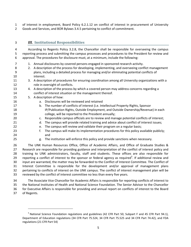of interest in employment, Board Policy 6.2.1.12 on conflict of interest in procurement of University Goods and Services, and BOR Bylaws 3.4.5 pertaining to conflict of commitment.

# *III.* **Institutional Responsibilities**

 According to Regents Policy 3.2.8, the Chancellor shall be responsible for overseeing the campus reporting process and submitting the campus processes and procedures to the President for review and approval. The procedures for disclosure must, at a minimum, include the following: 1. Annual disclosures by covered persons engaged in sponsored research activity. 2. A description of the process for developing, implementing, and overseeing conflict management plans, including a detailed process for managing and/or eliminating potential conflicts of interest. 3. A description of procedures for ensuring coordination among all University organizations with a 12 role in oversight of conflicts. 13 4. A description of the process by which a covered person may address concerns regarding a conflict of interest situation or the management thereof. 5. A description of how: a. Disclosures will be reviewed and retained b. The number of conflicts of interest (i.e. Intellectual Property Rights, Sponsor IP/Publication Rights, Outside Employment, and Outside Ownership/Revenue) in each college, will be reported to the President annually; c. Responsible campus officials are to review and manage potential conflicts of interest; 21 d. The campus will provide related training and advice about conflict of interest issues; e. The campus will review and validate their program on a regular basis; 23 f. The campus will make its implementation procedures for this policy available publicly; and g. The institution will enforce this policy and provide sanctions when necessary. The UNK Human Resources Office, Office of Academic Affairs, and Office of Graduate Studies & Research are responsible for providing guidance and interpretation of the conflict of interest policy and training to UNK administrators, faculty, staff and students. These offices are also responsible for 29 reporting a conflict of interest to the sponsor or federal agency as required<sup>5</sup>. If additional review and input are warranted, the matter may be forwarded to the Conflict of Interest Committee. The Conflict of Interest Committee is responsible for the development and/or approval of management plans

 pertaining to conflicts of interest on the UNK campus. The conflict of interest management plan will be reviewed by the conflict of interest committee no less than every five years.

 The Associate Vice Chancellor for Academic Affairs is responsible for reporting conflicts of interest to the National Institutes of Health and National Science Foundation. The Senior Advisor to the Chancellor for Executive Affairs is responsible for providing and annual report on conflicts of interest to the Board of Regents.

 National Science Foundation regulations and guidelines (42 CFR Part 50, Subpart F and 45 CFR Part 94.1), Department of Education regulations (34 CFR Part 75.524, 34 CFR Part 75.525 and 34 CFR Part 74.42), and FDA regulations (21 CFR Part 54)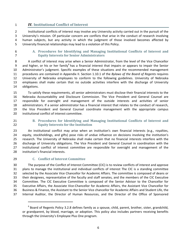### *IV.* **Institutional Conflict of Interest**

 Institutional conflicts of interest may involve any University activity carried out in the pursuit of the University's mission. Of particular concern are conflicts that arise in the conduct of research involving human subjects, but any activity in which the judgment of those involved becomes affected by University financial relationships may lead to a violation of this Policy.

 **A. Procedures for Identifying and Managing Institutional Conflicts of Interest and Equity Interests for Senior Administrators**

 A conflict of interest may arise when a Senior Administrator, from the level of the Vice Chancellor 9 and higher, or his or her family<sup>6</sup> has a financial interest that impairs or appears to impair the Senior Administrator's judgment. Specific examples of these situations and the recommended management procedures are contained in Appendix II. Section 1.10.1 of the *Bylaws of the Board of Regents* requires University of Nebraska employees to conform to the following guidelines. University of Nebraska employees shall make certain that no outside activities interfere with the discharge of University obligations.

 To satisfy these requirements, all senior administrators must disclose their financial interests to the Nebraska Accountability and Disclosure Commission. The Vice President and General Counsel are responsible for oversight and management of the outside interests and activities of senior administrators. If a senior administrator has a financial interest that relates to the conduct of research, the Vice President and General Counsel coordinate management with the appropriate campus institutional conflict of interest committee.

 **B. Procedures for Identifying and Managing Institutional Conflicts of Interest and Equity Interests for the Institution**

 An institutional conflict may arise when an institution's own financial interests (e.g., royalties, equity, stockholdings, and gifts) pose risks of undue influence on decisions involving the institution's research. The University of Nebraska shall make certain that no financial interests interfere with the discharge of University obligations. The Vice President and General Counsel in coordination with the institutional conflict of interest committee are responsible for oversight and management of the institution's financial interests.

#### **C. Conflict of Interest Committee**

 The purpose of the Conflict of Interest Committee (CIC) is to review conflicts of interest and approve plans to manage the institutional and individual conflicts of interest The CIC is a standing committee selected by the Associate Vice Chancellor for Academic Affairs. The committee is composed of deans or their designees, representative of the faculty and staff senates, and the members of the CIC Executive Committee. The CIC Executive Committee is composed of the Senior Advisor to the Chancellor for Executive Affairs, the Associate Vice‐Chancellor for Academic Affairs, the Assistant Vice Chancellor for Business & Finance, the Assistant to the Senior Vice chancellor for Academic Affairs and Student Life, the Internal Auditor, the Director of Human Resources, and the Director of the Office of Sponsored

 Board of Regents Policy 3.2.8 defines family as a spouse, child, parent, brother, sister, grandchild, or grandparent, by blood, marriage, or adoption. This policy also includes partners receiving benefits through the University's Employee Plus One program.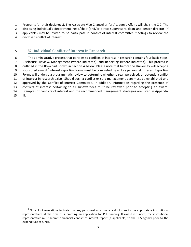Programs (or their designees). The Associate Vice Chancellor for Academic Affairs will chair the CIC. The 2 disclosing individual's department head/chair (and/or direct supervisor), dean and center director (if applicable) may be invited to be participate in conflict of interest committee meetings to review the disclosed conflict of interest.

### *V.* **Individual Conflict of Interest in Research**

 The administrative process that pertains to conflicts of interest in research contains four basic steps: Disclosure, Review, Management (where indicated), and Reporting (where indicated). This process is outlined in the flowchart shown in Section A below. Please note that before the University will accept a 9 sponsored award,<sup>7</sup> interest reporting forms must be completed by all key personnel. Interest Reporting Forms will undergo a programmatic review to determine whether a real, perceived, or potential conflict of interest in research exists. Should such a conflict exist, a management plan must be established and approved by the Conflict of Interest Committee. In addition, information regarding the presence of conflicts of interest pertaining to all subawardees must be reviewed prior to accepting an award. Examples of conflicts of interest and the recommended management strategies are listed in Appendix III.

 $<sup>7</sup>$  Note: PHS regulations indicate that key personnel must make a disclosure to the appropriate institutional</sup> representatives at the time of submitting an application for PHS funding. If award is funded, the institutional representative must submit a financial conflict of interest report (if applicable) to the PHS agency prior to the expenditure of funds.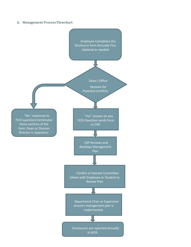#### **A. Management Process Flowchart**

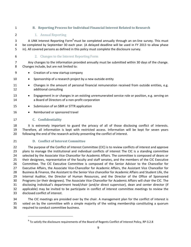### **B. Reporting Process for Individual Financial Interest Related to Research**

### 1. Annual Reporting

3 A UNK Interest Reporting Form<sup>8</sup> must be completed annually through an on-line survey. This must be completed by September 30 each year. (A delayed deadline will be used in FY 2013 to allow phase in). All covered persons as defined in this policy must complete the disclosure survey.

### 6 2. Changes to the Interest Reporting Form

 Any changes to the information provided annually must be submitted within 30 days of the change. Changes include, but are not limited to:

- Creation of a new startup company
- 10 Sponsorship of a research project by a new outside entity
- 11 Changes in the amount of personal financial remuneration received from outside entities, e.g. additional consulting
- **Engagement in or changes in an existing unremunerated service role or position, e.g. serving on** a Board of Directors of a non‐profit corporation
- 15 Submission of an SBIR or STTR application
- 16 Reimbursed or sponsored travel

### **C. Confidentiality**

18 It is extremely important to guard the privacy of all of those disclosing conflict of interests. Therefore, all information is kept with restricted access. Information will be kept for seven years 20 following the end of the research activity presenting the conflict of interest.

#### **D. Conflict of Interest Committee**

 The purpose of the Conflict of Interest Committee (CIC) is to review conflicts of interest and approve 23 plans to manage the institutional and individual conflicts of interest The CIC is a standing committee selected by the Associate Vice Chancellor for Academic Affairs. The committee is composed of deans or their designees, representative of the faculty and staff senates, and the members of the CIC Executive Committee. The CIC Executive Committee is composed of the Senior Advisor to the Chancellor for Executive Affairs, the Associate Vice‐Chancellor for Academic Affairs, the Assistant Vice Chancellor for Business & Finance, the Assistant to the Senior Vice chancellor for Academic Affairs and Student Life, the Internal Auditor, the Director of Human Resources, and the Director of the Office of Sponsored Programs (or their designees). The Associate Vice Chancellor for Academic Affairs will chair the CIC. The disclosing individual's department head/chair (and/or direct supervisor), dean and center director (if applicable) may be invited to be participate in conflict of interest committee meetings to review the disclosed conflict of interest.

 The CIC meetings are presided over by the chair. A management plan for the conflict of interest is voted on by the committee with a simple majority of the voting membership constituting a quorum required to conduct committee business.

To satisfy the disclosure requirements of the Board of Regents Conflict of Interest Policy, RP-3.2.8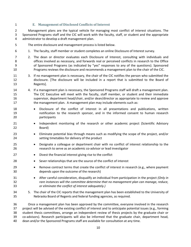### **E. Management of Disclosed Conflicts of Interest**

 Management plans are the typical vehicle for managing most conflict of interest situations. The Sponsored Programs staff and the CIC will work with the faculty, staff, or student and the appropriate administrator to develop a draft management plan.

- The entire disclosure and management process is listed below.
- 1. The faculty, staff member or student completes an online Disclosure of Interest survey.
- 2. The dean or director evaluates each Disclosure of Interest, consulting with individuals and 8 offices involved as necessary, and forwards real or perceived conflicts in research to the Office of Sponsored Programs (as indicated by "yes" responses to any of the questions). Sponsored Programs reviews the disclosure and recommends a management plan to the chair of the CIC.
- 3. If no management plan is necessary, the chair of the CIC notifies the person who submitted the disclosure. [The disclosure will be included in a report that is submitted to the Board of Regents].
- 4. If a management plan is necessary, the Sponsored Programs staff will draft a management plan. The CIC Executive will meet with the faculty, staff member, or student and their immediate supervisor, department head/chair, and/or dean/director as appropriate to review and approve the management plan. A management plan may include elements such as:
- 18 Disclosure of the conflict of interest in all presentations and publications, written notification to the research sponsor, and in the informed consent to human research participants
- 21 Independent monitoring of the research or other academic project (Scientific Advisory Board)
- Eliminate potential bias through means such as modifying the scope of the project, and/or setting timetables for delivery of the product
- Designate a colleague or department chair with no conflict of interest relationship to the **research to serve as an academic co**-advisor or lead investigator
- 27 Divest the financial interest giving rise to the conflict
- 28 Sever relationships that are the source of the conflict of interest
- **Remove contract terms that create the conflict of interest in research (e.g., where payment** depends upon the outcome of the research)
- After careful consideration, disqualify an individual from participation in the project *(Only in rare instances will the committee determine that no management plan can manage, reduce, or eliminate the conflict of interest adequately.)*
- 5. The chair of the CIC reports that the management plan has been established to the University of Nebraska Board of Regents and federal funding agencies, as required.

 Once a management plan has been approved by the committee, everyone involved in the research project will be advised of the existing conflict of interest and to anticipate potential issues (e.g., forming student thesis committees, arrange an independent review of thesis projects by the graduate chair or co‐advisors). Research participants will also be informed that the graduate chair, department head,

dean and/or the Sponsored Programs staff are available for consultation at any time.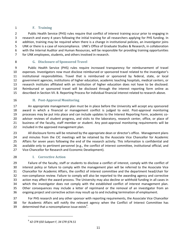### **F. Training**

 Public Health Service (PHS) rules require that conflict of interest training occur prior to engaging in research and every 4 years following the initial training for all researchers applying for PHS funding. In addition, training may be required when there is a change in institutional policies, an investigator joins UNK or there is a case of noncompliance. UNK's Office of Graduate Studies & Research, in collaboration with the Internal Auditor and Human Resources, will be responsible for providing training opportunities for UNK employees, students, and others involved in research.

# **G. Disclosure of Sponsored Travel**

 Public Health Service (PHS) rules require increased transparency for reimbursement of travel expenses. Investigators now must disclose reimbursed or sponsored travel related to the investigator's institutional responsibilities. Travel that is reimbursed or sponsored by federal, state, or local government agencies, institutions of higher education, academic teaching hospitals, medical centers, or research institutes affiliated with an institution of higher education does not have to be disclosed. Reimbursed or sponsored travel will be disclosed through the interest reporting form online as described in Section VII. B. Reporting Process for individual financial interest related to research above.

### **H. Post‐Approval Monitoring**

 An appropriate management plan must be in place before the University will accept any sponsored award in which a financial or management conflict is judged to exist. Post‐approval monitoring processes may be put into place and can include updates to the Interest Reporting Form, academic co‐ advisor reviews of student progress, and visits to the laboratory, research center, office, or place of 21 business of the faculty, staff member or student. Any post-approval monitoring requirements will be included in the approved management plan.

 All disclosure forms will be retained by the appropriate dean or director's office. Management plans and minutes from the CIC meetings will be retained by the Associate Vice Chancellor for Academic Affairs for seven years following the end of the research activity. This information is confidential and available only to pertinent personnel (e.g., the conflict of interest committee, institutional official, and 27 Vice-Chancellor for Research and Economic Development).

### **I. Corrective Action**

 Failure of the faculty, staff or students to disclose a conflict of interest, comply with the conflict of interest policy or failure to comply with the management plan will be referred to the Associate Vice Chancellor for Academic Affairs, the conflict of interest committee and the department head/chair for 32 non-compliance review. Failure to comply will also be reported to the awarding agency and corrective action may affect the award process. The University may also decline or withhold funding in all cases in which the investigator does not comply with the established conflict of interest management plan. Other consequences may include a letter of reprimand or the removal of an investigator from an ongoing project and corrective action may result up to and including termination of employment.

 For PHS research and any other sponsor with reporting requirements, the Associate Vice Chancellor for Academic Affairs will notify the relevant agency when the Conflict of Interest Committee has determined that a noncompliance issue exists<sup>9</sup>.

 *42 CFR §50 Subpart F, 34 CFR §74.51*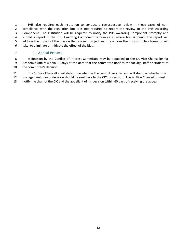PHS also requires each institution to conduct a retrospective review in those cases of non‐ compliance with the regulation but it is not required to report the review to the PHS Awarding Component. The Institution will be required to notify the PHS Awarding Component promptly and submit a report to the PHS Awarding Component only in cases where bias is found. The report will address the impact of the bias on the research project and the actions the Institution has taken, or will take, to eliminate or mitigate the effect of the bias.

### **J. Appeal Process**

8 A decision by the Conflict of Interest Committee may be appealed to the Sr. Vice Chancellor for Academic Affairs within 30 days of the date that the committee notifies the faculty, staff or student of the committee's decision.

 The Sr. Vice Chancellor will determine whether the committee's decision will stand, or whether the management plan or decision should be sent back to the CIC for revision. The Sr. Vice Chancellor must notify the chair of the CIC and the appellant of his decision within 60 days of receiving the appeal.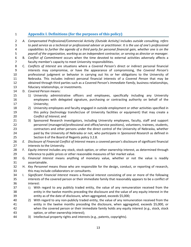# **Appendix I. Definitions (for the purposes of this policy)**

- *A. Compensated Professional/Commercial Activity (Outside Activity)* includes *outside consulting, refers* 3 to paid service as a technical or professional adviser or practitioner. It is the use of one's professional 4 capabilities to further the agenda of a third party for personal financial gain, whether one is on the *payroll of the organization, working as an independent contractor, or serving as director or manager.*
- B. *Conflict of Commitment* occurs when the time devoted to external activities adversely affects a faculty member's capacity to meet University responsibilities.
- C. *Conflicts of Interest* are situations where a *Covered Person's* direct or indirect personal financial interests may compromise, or have the appearance of compromising, the *Covered Person's* professional judgment or behavior in carrying out his or her obligations to the University of Nebraska. This includes indirect personal financial interests of a *Covered Person* that may be obtained through third parties such as a Covered Person's *Immediate Family*, business relationships, fiduciary relationships, or investments.
- D. *Covered Person* means:
- 1) University administrative officers and employees, specifically including any University employees with delegated signature, purchasing or contracting authority on behalf of the University;
- 2) University employees and faculty engaged in outside employment or other activities specified in this policy (technology transfer/use of University facilities or equipment) that may create a *Conflict of Interest*; and
- 3) Sponsored Research investigators, including University employees, faculty, staff and support personnel (managerial/professional and office/service positions), volunteers, trainees, students, contractors and other persons under the direct control of the University of Nebraska, whether paid by the University of Nebraska or not, who participate in *Sponsored Research* as defined in Section 6 of the Board of Regents policy 3.2.8.
- *E. Disclosure of Financial Conflict of Interest* means a covered person's disclosure of significant financial interests to the University.
- F. *Equity interest* includes any stock, stock option, or other ownership interest, as determined through reference to public prices or other reasonable measures of fair market value.
- G. *Financial Interest* means anything of monetary value, whether or not the value is readily ascertainable.
- H. *Key Personnel* means those who are responsible for the design, conduct, or reporting of research, this may include collaborators or consultants.
- I. *Significant Financial Interest* means a financial interest consisting of one or more of the following interests of the covered person or their immediate family that reasonably appears to be a conflict of interest:
- 1) With regard to any publicly traded entity, the value of any remuneration received from the entity in the twelve months preceding the disclosure and the value of any equity interest in the entity as of the date of disclosure, when aggregated, exceeds \$5,000;
- 40 2) With regard to any non-publicly traded entity, the value of any remuneration received from the entity in the twelve months preceding the disclosure, when aggregated, exceeds \$5,000, or when the covered person or their immediate family holds any equity interest (*e.g.,* stock, stock option, or other ownership interest);
- 3) Intellectual property rights and interests (e.g., patents, copyrights).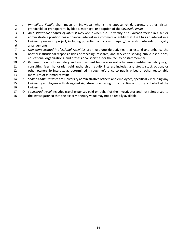- J. *Immediate Family* shall mean an individual who is the spouse, child, parent, brother, sister, grandchild, or grandparent, by blood, marriage, or adoption of the *Covered Person.*
- K. *An Institutional Conflict of Interest* may occur when the University or a *Covered Person* in a senior administrative position has a financial interest in a commercial entity that itself has an interest in a University research project, including potential conflicts with equity/ownership interests or royalty arrangements.
- L. *Non‐compensated Professional Activities* are those outside activities that extend and enhance the normal institutional responsibilities of teaching, research, and service to serving public institutions, educational organizations, and professional societies for the faculty or staff member.
- M. *Remuneration* includes salary and any payment for services not otherwise identified as salary (e.g., consulting fees, honoraria, paid authorship); equity interest includes any stock, stock option, or other ownership interest, as determined through reference to public prices or other reasonable measures of fair market value.
- N. *Senior Administrators* are University administrative officers and employees, specifically including any University employees with delegated signature, purchasing or contracting authority on behalf of the University.
- O. *Sponsored travel* includes travel expenses paid on behalf of the investigator and not reimbursed to
- the investigator so that the exact monetary value may not be readily available.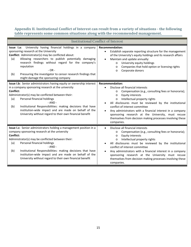# **Appendix II. Institutional Conflict of Interest can result from a variety of situations ‐ the following table represents some common situations along with the recommended management.**

| <b>Institutional Conflict of Interest</b>                                                                                                                                                                                                                                                                                                                                                                                                 |                                                                                                                                                                                                                                                                                                                                                                                                                                                                                                                    |  |  |
|-------------------------------------------------------------------------------------------------------------------------------------------------------------------------------------------------------------------------------------------------------------------------------------------------------------------------------------------------------------------------------------------------------------------------------------------|--------------------------------------------------------------------------------------------------------------------------------------------------------------------------------------------------------------------------------------------------------------------------------------------------------------------------------------------------------------------------------------------------------------------------------------------------------------------------------------------------------------------|--|--|
| University having financial holdings in a company<br>Issue I.a:<br>sponsoring research at the University<br>Conflict: Administrator(s) may be conflicted about:<br>Allowing researchers to publish potentially damaging<br>(a)<br>research findings without regard for the company's<br>reputation<br>$-OR -$<br>Pressuring the investigator to censor research findings that<br>(b)<br>might damage the sponsoring company               | <b>Recommendation:</b><br>Establish separate reporting structure for the management<br>$\bullet$<br>of the University's equity holdings and its research affairs<br>Maintain and update annually:<br>$\bullet$<br>University equity holdings<br>$\circ$<br>Companies that hold option or licensing rights<br>$\circ$<br>Corporate donors<br>$\Omega$                                                                                                                                                               |  |  |
| Issue I.b: Senior administrators having equity or ownership interest<br>in a company sponsoring research at the university<br>Conflict:<br>Administrator(s) may be conflicted between their:<br>Personal financial holdings<br>(a)<br>$- AND -$<br>Institutional Responsibilities: making decisions that have<br>(b)<br>institution-wide impact and are made on behalf of the<br>University without regard to their own financial benefit | <b>Recommendation:</b><br>Disclose all financial interests<br>Compensation (e.g., consulting fees or honoraria);<br>$\circ$<br><b>Equity interests</b><br>$\circ$<br>Intellectual property rights<br>$\circ$<br>All disclosures must be reviewed by the institutional<br>conflict of interest committee<br>Any administrators with a financial interest in a company<br>$\bullet$<br>sponsoring research at the University, must recuse<br>themselves from decision making processes involving these<br>companies. |  |  |
| Issue I.c: Senior administrators holding a management position in a<br>company sponsoring research at the university<br>Conflict:<br>Administrator(s) may be conflicted between their:<br>Personal financial holdings<br>(a)<br>$- AND -$<br>Institutional Responsibilities: making decisions that have<br>(b)<br>institution-wide impact and are made on behalf of the<br>University without regard to their own financial benefit       | Disclose all financial interests<br>$\bullet$<br>Compensation (e.g., consulting fees or honoraria);<br>$\circ$<br><b>Equity interests</b><br>$\circ$<br>Intellectual property rights<br>$\circ$<br>All disclosures must be reviewed by the institutional<br>conflict of interest committee<br>Any administrators with a financial interest in a company<br>$\bullet$<br>sponsoring research at the University must recuse<br>themselves from decision making processes involving these<br>companies.               |  |  |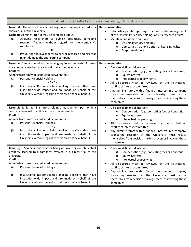| Institutional Conflict of Interest involving Clinical Trials                                                                                                                                                                                                                                                                                                                                                                                                             |                                                                                                                                                                                                                                                                                                                                                                                                                                                                                                      |  |  |
|--------------------------------------------------------------------------------------------------------------------------------------------------------------------------------------------------------------------------------------------------------------------------------------------------------------------------------------------------------------------------------------------------------------------------------------------------------------------------|------------------------------------------------------------------------------------------------------------------------------------------------------------------------------------------------------------------------------------------------------------------------------------------------------------------------------------------------------------------------------------------------------------------------------------------------------------------------------------------------------|--|--|
| Issue I.d: University financial holdings in a company involved in a<br>clinical trial at the University<br>Conflict: Administrator(s) may be conflicted about:<br>Allowing researchers to publish potentially damaging<br>(a)<br>research findings without regard for the company's<br>reputation<br>$-OR -$<br>Pressuring the investigator to censor research findings that<br>(b)<br>might damage the sponsoring company                                               | <b>Recommendation:</b><br>Establish separate reporting structure for the management<br>of the University's equity holdings and its research affairs<br>Maintain and update annually:<br>$\bullet$<br>University equity holdings<br>$\circ$<br>Companies that hold option or licensing rights<br>$\circ$<br>Corporate donors<br>$\circ$                                                                                                                                                               |  |  |
| Issue I.e: Senior administrators having equity or ownership interest<br>in a company involved in a clinical trial at the university<br>Conflict:<br>Administrator may be conflicted between their:<br><b>Personal Financial Holdings</b><br>(a)<br>- AND -<br>Institutional Responsibilities: making decisions that have<br>(b)<br>institution-wide impact and are made on behalf of the<br>University without regard to their own financial benefit                     | <b>Recommendation:</b><br>Disclose all financial interests<br>Compensation (e.g., consulting fees or honoraria);<br>$\circ$<br><b>Equity interests</b><br>$\circ$<br>Intellectual property rights<br>$\circ$<br>All disclosures must be reviewed by the institutional<br>conflict of interest committee<br>Any administrators with a financial interest in a company<br>sponsoring research at the University, must recuse<br>themselves from decision making processes involving these<br>companies |  |  |
| Issue I.f: Senior administrators holding a management position in a<br>company involved in a clinical trial at the university<br>Conflict:<br>Administrator may be conflicted between their:<br><b>Personal Financial Holdings</b><br>(a)<br>$- AND -$<br>Institutional Responsibilities: making decisions that have<br>(b)<br>institution-wide impact and are made on behalf of the<br>University without regard to their own financial benefit                         | Disclose all financial interests<br>$\bullet$<br>Compensation (e.g., consulting fees or honoraria);<br>$\circ$<br><b>Equity interests</b><br>$\circ$<br>Intellectual property rights<br>$\circ$<br>All disclosures must be reviewed by the institutional<br>conflict of interest committee<br>Any administrators with a financial interest in a company<br>sponsoring research at the University must recuse<br>themselves from decision making processes involving these<br>companies               |  |  |
| Issue I.g : Senior administrators being an inventor on intellectual<br>property licensed to a company involved in a clinical trial at the<br>university<br>Conflict:<br>Administrator may be conflicted between their:<br><b>Personal Financial Holdings</b><br>(a)<br>- AND -<br>Institutional Responsibilities: making decisions that have<br>(b)<br>institution-wide impact and are made on behalf of the<br>University without regard to their own financial benefit | Disclose all financial interests<br>$\bullet$<br>Compensation (e.g., consulting fees or honoraria);<br>$\circ$<br>Equity interests<br>Intellectual property rights<br>$\circ$<br>All disclosures must be reviewed by the institutional<br>conflict of interest committee<br>Any administrators with a financial interest in a company<br>sponsoring research at the University must recuse<br>themselves from decision making processes involving these<br>companies                                 |  |  |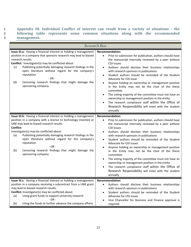# 1 **Appendix III. Individual Conflict of interest can result from a variety of situations ‐ the** 2 **following table represents some common situations along with the recommended 3 management.**

| <b>Research Bias</b>                                                                                                                                                                                                                                                                                                                                                                                                                                                      |                                                                                                                                                                                                                                                                                                                                                                                                                                                                                                                                                                                                                                                                                                                                 |  |  |
|---------------------------------------------------------------------------------------------------------------------------------------------------------------------------------------------------------------------------------------------------------------------------------------------------------------------------------------------------------------------------------------------------------------------------------------------------------------------------|---------------------------------------------------------------------------------------------------------------------------------------------------------------------------------------------------------------------------------------------------------------------------------------------------------------------------------------------------------------------------------------------------------------------------------------------------------------------------------------------------------------------------------------------------------------------------------------------------------------------------------------------------------------------------------------------------------------------------------|--|--|
| Issue III.a: Having a financial interest or holding a management<br>position in a company that sponsors research may lead to biased<br>research results.<br>Conflict: Investigator(s) may be conflicted about:<br>Publishing potentially damaging research findings in the<br>(c)<br>open literature without regard for the company's<br>reputation<br>$- OR -$<br>Censoring research findings that might damage the<br>(d)<br>sponsoring company                         | <b>Recommendation:</b><br>Prior to submission for publication, authors should have<br>$\bullet$<br>the manuscript internally reviewed by a peer without<br>COI issues<br>Authors should disclose their business relationships<br>with research sponsors in publications<br>Student authors should be reminded of the Student<br>$\bullet$<br>Advocate for COI issue<br>Anyone holding an ownership or management position<br>in the Entity may not be the chair of the thesis<br>committee.<br>The voting majority of the committee must not have an<br>ownership or management position in the entity.<br>The research compliance staff within the Office of<br>Research Responsibility will meet with the student<br>annually |  |  |
| Issue III.b: Having a financial interest or holding a management<br>position in a company with a license to technology invented at<br>UNK may lead to biased research results.<br>Conflict:<br>Investigator(s) may be conflicted about:<br>Publishing potentially damaging research findings in the<br>(a)<br>open literature without regard for the company's<br>reputation<br>$-OR -$<br>Censoring research findings that might damage the<br>(b)<br>sponsoring company | <b>Recommendation:</b><br>Prior to submission for publication, authors should have<br>$\bullet$<br>the manuscript internally reviewed by a peer without<br>COI issues<br>Authors should disclose their business relationships<br>with research sponsors in publications<br>Student authors should be reminded of the Student<br>Advocate for COI issues<br>Anyone holding an ownership or management position<br>in the Entity may not be the chair of the thesis<br>committee.<br>The voting majority of the committee must not have an<br>ownership or management position in the entity.<br>The research compliance staff within the Office of<br>Research Responsibility will meet with the student<br>annually             |  |  |
| Issue III.c: Having a financial interest or holding a management  <br>position in a company receiving a subcontract from a UNK grant<br>may lead to biased research results.<br>Conflict: Investigator(s) may be conflicted about:<br>Using grant funds to support university research<br>(a)<br>$- OR -$<br>Using the funds to further advance the company efforts<br>(b)                                                                                                | Recommendation:<br>Authors should disclose their business relationships<br>$\bullet$<br>with research sponsors in publications<br>Student authors should be reminded of the Student<br>٠<br>Advocate for COI issues<br>Vice Chancellor for Business and Finance approval is<br>required                                                                                                                                                                                                                                                                                                                                                                                                                                         |  |  |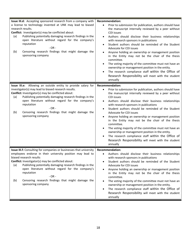| Issue III.d: Accepting sponsored research from a company with<br>a license to technology invented at UNK may lead to biased<br>research results.<br>Conflict: Investigator(s) may be conflicted about:<br>Publishing potentially damaging research findings in the<br>(a)<br>open literature without regard for the company's<br>reputation<br>$- OR -$<br>Censoring research findings that might damage the<br>(b)<br>sponsoring company             | <b>Recommendation:</b><br>Prior to submission for publication, authors should have<br>the manuscript internally reviewed by a peer without<br><b>COI</b> issues<br>Authors should disclose their business relationships<br>with research sponsors in publications<br>Student authors should be reminded of the Student<br>٠<br>Advocate for COI issues<br>Anyone holding an ownership or management position<br>in the Entity may not be the chair of the thesis<br>committee.<br>The voting majority of the committee must not have an<br>ownership or management position in the entity.<br>The research compliance staff within the Office of<br>Research Responsibility will meet with the student<br>annually |
|-------------------------------------------------------------------------------------------------------------------------------------------------------------------------------------------------------------------------------------------------------------------------------------------------------------------------------------------------------------------------------------------------------------------------------------------------------|--------------------------------------------------------------------------------------------------------------------------------------------------------------------------------------------------------------------------------------------------------------------------------------------------------------------------------------------------------------------------------------------------------------------------------------------------------------------------------------------------------------------------------------------------------------------------------------------------------------------------------------------------------------------------------------------------------------------|
| Issue III.e: Allowing an outside entity to provide salary for<br>investigator(s) may lead to biased research results.<br>Conflict: Investigator(s) may be conflicted about:<br>Publishing potentially damaging research findings in the<br>(a)<br>open literature without regard for the company's<br>reputation<br>$-OR -$<br>Censoring research findings that might damage the<br>(b)<br>sponsoring company                                         | <b>Recommendation:</b><br>Prior to submission for publication, authors should have<br>the manuscript internally reviewed by a peer without<br>COI issues<br>Authors should disclose their business relationships<br>with research sponsors in publications<br>Student authors should be reminded of the Student<br>Advocate for COI issues<br>Anyone holding an ownership or management position<br>in the Entity may not be the chair of the thesis<br>committee.<br>The voting majority of the committee must not have an<br>ownership or management position in the entity.<br>The research compliance staff within the Office of<br>Research Responsibility will meet with the student<br>annually             |
| Issue III.f: Consulting for companies or businesses that university<br>employees endorse in their university position may lead to<br>biased research results<br>Conflict: Investigator(s) may be conflicted about:<br>Publishing potentially damaging research findings in the<br>(a)<br>open literature without regard for the company's<br>reputation<br>$- OR -$<br>Censoring research findings that might damage the<br>(b)<br>sponsoring company | <b>Recommendation:</b><br>Authors should disclose their business relationships<br>with research sponsors in publications<br>Student authors should be reminded of the Student<br>Advocate for COI issues<br>Anyone holding an ownership or management position<br>in the Entity may not be the chair of the thesis<br>committee.<br>The voting majority of the committee must not have an<br>ownership or management position in the entity.<br>The research compliance staff within the Office of<br>Research Responsibility will meet with the student<br>annually                                                                                                                                               |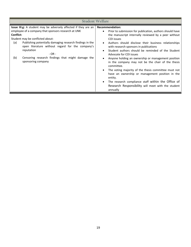| <b>Student Welfare</b>                                                                                                                                                                                                                                                                                                                                                                                            |                                                                                                                                                                                                                                                                                                                                                                                                                                                                                                                                                                                                                                                                                                                                                                                                 |  |  |  |
|-------------------------------------------------------------------------------------------------------------------------------------------------------------------------------------------------------------------------------------------------------------------------------------------------------------------------------------------------------------------------------------------------------------------|-------------------------------------------------------------------------------------------------------------------------------------------------------------------------------------------------------------------------------------------------------------------------------------------------------------------------------------------------------------------------------------------------------------------------------------------------------------------------------------------------------------------------------------------------------------------------------------------------------------------------------------------------------------------------------------------------------------------------------------------------------------------------------------------------|--|--|--|
| <b>Issue III.g:</b> A student may be adversely affected if they are an<br>employee of a company that sponsors research at UNK<br>Conflict:<br>Student may be conflicted about:<br>Publishing potentially damaging research findings in the<br>(a)<br>open literature without regard for the company's<br>reputation<br>$- OR -$<br>Censoring research findings that might damage the<br>(b)<br>sponsoring company | <b>Recommendation:</b><br>Prior to submission for publication, authors should have<br>$\bullet$<br>the manuscript internally reviewed by a peer without<br>COI issues<br>Authors should disclose their business relationships<br>$\bullet$<br>with research sponsors in publications<br>Student authors should be reminded of the Student<br>$\bullet$<br>Advocate for COI issues<br>Anyone holding an ownership or management position<br>$\bullet$<br>in the company may not be the chair of the thesis<br>committee.<br>The voting majority of the thesis committee must not<br>$\bullet$<br>have an ownership or management position in the<br>entity.<br>The research compliance staff within the Office of<br>$\bullet$<br>Research Responsibility will meet with the student<br>annually |  |  |  |